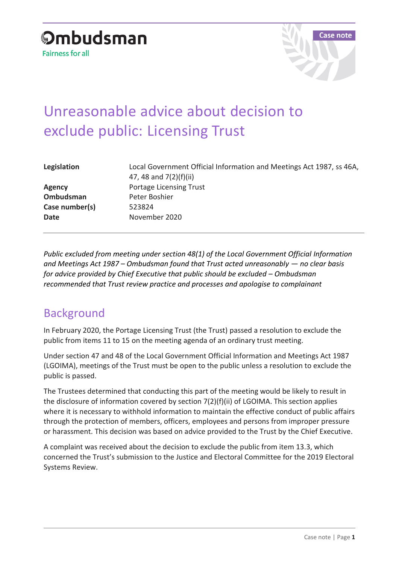

# Unreasonable advice about decision to exclude public: Licensing Trust

| Legislation    | Local Government Official Information and Meetings Act 1987, ss 46A,<br>47, 48 and 7(2)(f)(ii) |
|----------------|------------------------------------------------------------------------------------------------|
| <b>Agency</b>  | <b>Portage Licensing Trust</b>                                                                 |
| Ombudsman      | Peter Boshier                                                                                  |
| Case number(s) | 523824                                                                                         |
| <b>Date</b>    | November 2020                                                                                  |
|                |                                                                                                |

*Public excluded from meeting under section 48(1) of the Local Government Official Information and Meetings Act 1987 – Ombudsman found that Trust acted unreasonably — no clear basis for advice provided by Chief Executive that public should be excluded – Ombudsman recommended that Trust review practice and processes and apologise to complainant*

## Background

In February 2020, the Portage Licensing Trust (the Trust) passed a resolution to exclude the public from items 11 to 15 on the meeting agenda of an ordinary trust meeting.

Under section 47 and 48 of the Local Government Official Information and Meetings Act 1987 (LGOIMA), meetings of the Trust must be open to the public unless a resolution to exclude the public is passed.

The Trustees determined that conducting this part of the meeting would be likely to result in the disclosure of information covered by section 7(2)(f)(ii) of LGOIMA. This section applies where it is necessary to withhold information to maintain the effective conduct of public affairs through the protection of members, officers, employees and persons from improper pressure or harassment. This decision was based on advice provided to the Trust by the Chief Executive.

A complaint was received about the decision to exclude the public from item 13.3, which concerned the Trust's submission to the Justice and Electoral Committee for the 2019 Electoral Systems Review.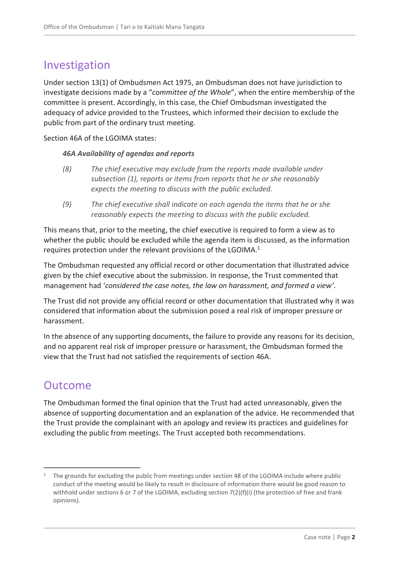# Investigation

Under section 13(1) of Ombudsmen Act 1975, an Ombudsman does not have jurisdiction to investigate decisions made by a "*committee of the Whole*", when the entire membership of the committee is present. Accordingly, in this case, the Chief Ombudsman investigated the adequacy of advice provided to the Trustees, which informed their decision to exclude the public from part of the ordinary trust meeting.

Section 46A of the LGOIMA states:

#### *46A Availability of agendas and reports*

- *(8) The chief executive may exclude from the reports made available under subsection (1), reports or items from reports that he or she reasonably expects the meeting to discuss with the public excluded.*
- *(9) The chief executive shall indicate on each agenda the items that he or she reasonably expects the meeting to discuss with the public excluded.*

This means that, prior to the meeting, the chief executive is required to form a view as to whether the public should be excluded while the agenda item is discussed, as the information requires protection under the relevant provisions of the LGOIMA. $<sup>1</sup>$ </sup>

The Ombudsman requested any official record or other documentation that illustrated advice given by the chief executive about the submission. In response, the Trust commented that management had '*considered the case notes, the law on harassment, and formed a view'*.

The Trust did not provide any official record or other documentation that illustrated why it was considered that information about the submission posed a real risk of improper pressure or harassment.

In the absence of any supporting documents, the failure to provide any reasons for its decision, and no apparent real risk of improper pressure or harassment, the Ombudsman formed the view that the Trust had not satisfied the requirements of section 46A.

## Outcome

 $\overline{a}$ 

The Ombudsman formed the final opinion that the Trust had acted unreasonably, given the absence of supporting documentation and an explanation of the advice. He recommended that the Trust provide the complainant with an apology and review its practices and guidelines for excluding the public from meetings. The Trust accepted both recommendations.

<sup>&</sup>lt;sup>1</sup> The grounds for excluding the public from meetings under section 48 of the LGOIMA include where public conduct of the meeting would be likely to result in disclosure of information there would be good reason to withhold under sections 6 or 7 of the LGOIMA, excluding section 7(2)(f)(i) (the protection of free and frank opinions).